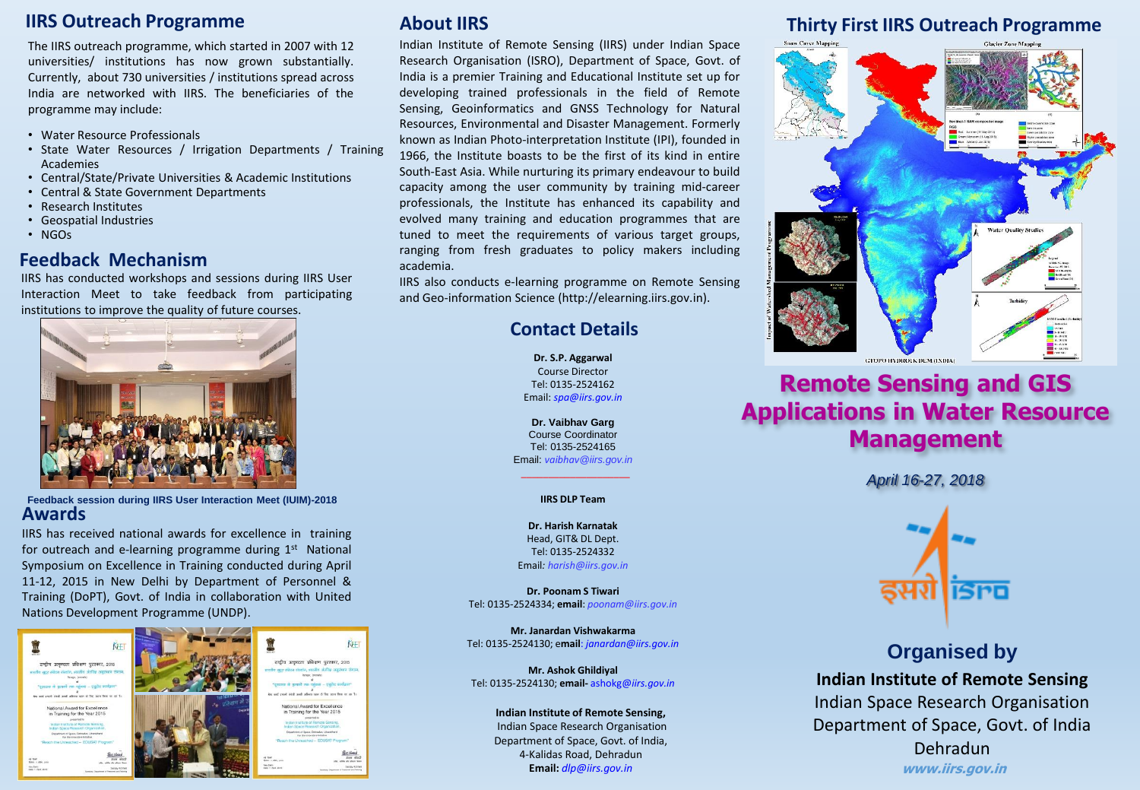### **IIRS Outreach Programme**

The IIRS outreach programme, which started in 2007 with 12 universities/ institutions has now grown substantially. Currently, about 730 universities / institutions spread across India are networked with IIRS. The beneficiaries of the programme may include:

- Water Resource Professionals
- State Water Resources / Irrigation Departments / Training Academies
- Central/State/Private Universities & Academic Institutions
- Central & State Government Departments
- Research Institutes
- Geospatial Industries
- NGOs

#### **Feedback Mechanism**

IIRS has conducted workshops and sessions during IIRS User Interaction Meet to take feedback from participating institutions to improve the quality of future courses.



**Feedback session during IIRS User Interaction Meet (IUIM)-2018 Awards**

IIRS has received national awards for excellence in training for outreach and e-learning programme during 1st National Symposium on Excellence in Training conducted during April 11-12, 2015 in New Delhi by Department of Personnel & Training (DoPT), Govt. of India in collaboration with United Nations Development Programme (UNDP).



# **About IIRS**

Indian Institute of Remote Sensing (IIRS) under Indian Space Research Organisation (ISRO), Department of Space, Govt. of India is a premier Training and Educational Institute set up for developing trained professionals in the field of Remote Sensing, Geoinformatics and GNSS Technology for Natural Resources, Environmental and Disaster Management. Formerly known as Indian Photo-interpretation Institute (IPI), founded in 1966, the Institute boasts to be the first of its kind in entire South-East Asia. While nurturing its primary endeavour to build capacity among the user community by training mid-career professionals, the Institute has enhanced its capability and evolved many training and education programmes that are tuned to meet the requirements of various target groups, ranging from fresh graduates to policy makers including academia.

IIRS also conducts e-learning programme on Remote Sensing and Geo-information Science (http://elearning.iirs.gov.in).

# **Contact Details**

**Dr. S.P. Aggarwal** Course Director Tel: 0135-2524162 Email: *spa@iirs.gov.in*

**Dr. Vaibhav Garg** Course Coordinator Tel: 0135-2524165 Email: *vaibhav@iirs.gov.in*

\_\_\_\_\_\_\_\_\_\_\_\_\_\_\_\_\_\_\_\_ **IIRS DLP Team**

**Dr. Harish Karnatak** Head, GIT& DL Dept. Tel: 0135-2524332 Email*: harish@iirs.gov.in*

**Dr. Poonam S Tiwari** Tel: 0135-2524334; **email**: *poonam@iirs.gov.in*

**Mr. Janardan Vishwakarma** Tel: 0135-2524130; e**mail**: *janardan@iirs.gov.in*

**Mr. Ashok Ghildiyal** Tel: 0135-2524130; **email-** ashokg@*iirs.gov.in*

#### **Indian Institute of Remote Sensing,**

Indian Space Research Organisation Department of Space, Govt. of India, 4-Kalidas Road, Dehradun **Email:** *dlp@iirs.gov.in*

# **Thirty First IIRS Outreach Programme**



# **Remote Sensing and GIS Applications in Water Resource Management**

*April 16-27, 2018*



# **Organised by Indian Institute of Remote Sensing** Indian Space Research Organisation Department of Space, Govt. of India Dehradun

**www.iirs.gov.in**